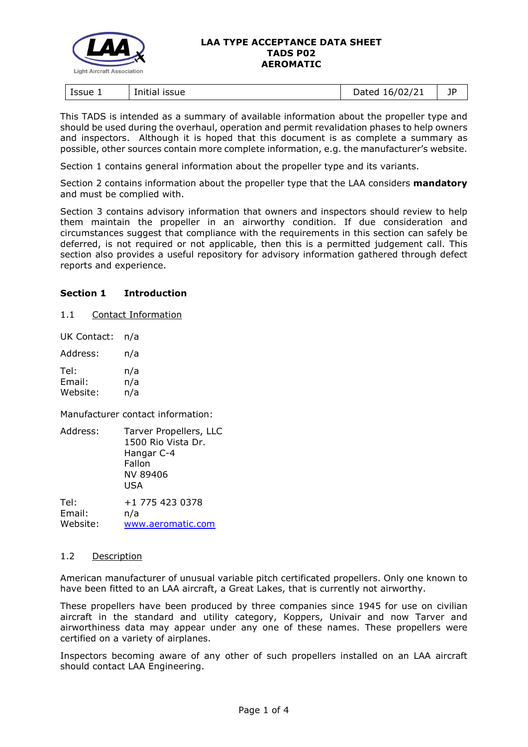

#### **LAA TYPE ACCEPTANCE DATA SHEET TADS P02 AEROMATIC**

| lssue 1<br>issue<br>Initial | $-0.16/02^{12}$<br>hatan<br>1/2<br>. .<br>nu cu | - -<br>ıμ<br>◡ |
|-----------------------------|-------------------------------------------------|----------------|
|-----------------------------|-------------------------------------------------|----------------|

This TADS is intended as a summary of available information about the propeller type and should be used during the overhaul, operation and permit revalidation phases to help owners and inspectors. Although it is hoped that this document is as complete a summary as possible, other sources contain more complete information, e.g. the manufacturer's website.

Section 1 contains general information about the propeller type and its variants.

Section 2 contains information about the propeller type that the LAA considers **mandatory** and must be complied with.

Section 3 contains advisory information that owners and inspectors should review to help them maintain the propeller in an airworthy condition. If due consideration and circumstances suggest that compliance with the requirements in this section can safely be deferred, is not required or not applicable, then this is a permitted judgement call. This section also provides a useful repository for advisory information gathered through defect reports and experience.

## **Section 1 Introduction**

1.1 Contact Information

UK Contact: n/a

| Address: | n/a |
|----------|-----|
| Tel:     | n/a |

Email: n/a Website: n/a

Manufacturer contact information:

| Address: | Tarver Propellers, LLC<br>1500 Rio Vista Dr.<br>Hangar C-4<br>Fallon<br>NV 89406<br>USA |
|----------|-----------------------------------------------------------------------------------------|
| Tel:     | +1 775 423 0378                                                                         |
| Email:   | n/a                                                                                     |
| Website: | www.aeromatic.com                                                                       |

## 1.2 Description

American manufacturer of unusual variable pitch certificated propellers. Only one known to have been fitted to an LAA aircraft, a Great Lakes, that is currently not airworthy.

These propellers have been produced by three companies since 1945 for use on civilian aircraft in the standard and utility category, Koppers, Univair and now Tarver and airworthiness data may appear under any one of these names. These propellers were certified on a variety of airplanes.

Inspectors becoming aware of any other of such propellers installed on an LAA aircraft should contact LAA Engineering.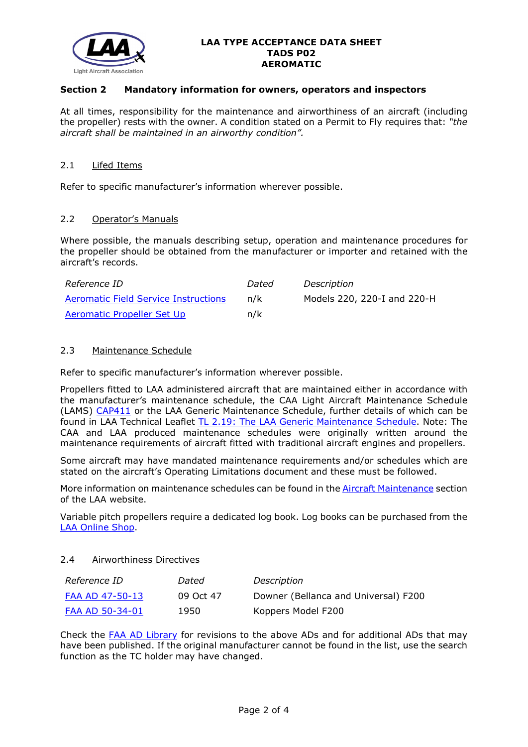

### **LAA TYPE ACCEPTANCE DATA SHEET TADS P02 AEROMATIC**

## **Section 2 Mandatory information for owners, operators and inspectors**

At all times, responsibility for the maintenance and airworthiness of an aircraft (including the propeller) rests with the owner. A condition stated on a Permit to Fly requires that: *"the aircraft shall be maintained in an airworthy condition".* 

#### 2.1 Lifed Items

Refer to specific manufacturer's information wherever possible.

#### 2.2 Operator's Manuals

Where possible, the manuals describing setup, operation and maintenance procedures for the propeller should be obtained from the manufacturer or importer and retained with the aircraft's records.

| Reference ID                         | Dated | Description                 |
|--------------------------------------|-------|-----------------------------|
| Aeromatic Field Service Instructions | n/k   | Models 220, 220-I and 220-H |
| Aeromatic Propeller Set Up           | n/k   |                             |

#### 2.3 Maintenance Schedule

Refer to specific manufacturer's information wherever possible.

Propellers fitted to LAA administered aircraft that are maintained either in accordance with the manufacturer's maintenance schedule, the CAA Light Aircraft Maintenance Schedule (LAMS) [CAP411](http://www.caa.co.uk/CAP411) or the LAA Generic Maintenance Schedule, further details of which can be found in LAA Technical Leaflet [TL 2.19: The LAA Generic Maintenance Schedule.](http://www.lightaircraftassociation.co.uk/engineering/TechnicalLeaflets/Operating%20An%20Aircraft/TL%202.19%20The%20LAA%20Generic%20Maintenance%20Schedule.pdf) Note: The CAA and LAA produced maintenance schedules were originally written around the maintenance requirements of aircraft fitted with traditional aircraft engines and propellers.

Some aircraft may have mandated maintenance requirements and/or schedules which are stated on the aircraft's Operating Limitations document and these must be followed.

More information on maintenance schedules can be found in the [Aircraft Maintenance](http://www.lightaircraftassociation.co.uk/engineering/Maintenance/Aircraft_Maintenance.html) section of the LAA website.

Variable pitch propellers require a dedicated log book. Log books can be purchased from the [LAA Online Shop.](https://services.lightaircraftassociation.co.uk/catalog/265)

#### 2.4 Airworthiness Directives

| <i>Reference ID</i> | Dated     | Description                          |
|---------------------|-----------|--------------------------------------|
| FAA AD 47-50-13     | 09 Oct 47 | Downer (Bellanca and Universal) F200 |
| FAA AD 50-34-01     | 1950      | Koppers Model F200                   |

Check the [FAA AD Library](https://rgl.faa.gov/Regulatory_and_Guidance_Library/rgAD.nsf/Frameset?OpenPage) for revisions to the above ADs and for additional ADs that may have been published. If the original manufacturer cannot be found in the list, use the search function as the TC holder may have changed.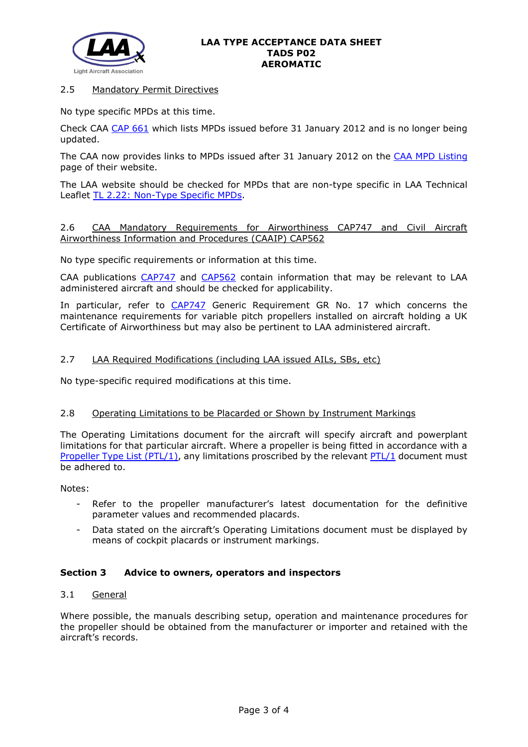

## 2.5 Mandatory Permit Directives

No type specific MPDs at this time.

Check CAA [CAP 661](http://www.caa.co.uk/application.aspx?catid=33&pagetype=65&appid=11&mode=detail&id=215) which lists MPDs issued before 31 January 2012 and is no longer being updated.

The CAA now provides links to MPDs issued after 31 January 2012 on the [CAA MPD Listing](http://publicapps.caa.co.uk/modalapplication.aspx?appid=11&mode=list&type=sercat&id=55) page of their website.

The LAA website should be checked for MPDs that are non-type specific in LAA Technical Leaflet [TL 2.22: Non-Type Specific MPDs.](http://www.lightaircraftassociation.co.uk/engineering/TechnicalLeaflets/Operating%20An%20Aircraft/TL%202.22%20non-type%20specific%20MPDs.pdf)

## 2.6 CAA Mandatory Requirements for Airworthiness CAP747 and Civil Aircraft Airworthiness Information and Procedures (CAAIP) CAP562

No type specific requirements or information at this time.

CAA publications [CAP747](http://www.caa.co.uk/CAP747) and [CAP562](http://www.caa.co.uk/CAP562) contain information that may be relevant to LAA administered aircraft and should be checked for applicability.

In particular, refer to [CAP747](http://www.caa.co.uk/CAP747) Generic Requirement GR No. 17 which concerns the maintenance requirements for variable pitch propellers installed on aircraft holding a UK Certificate of Airworthiness but may also be pertinent to LAA administered aircraft.

# 2.7 LAA Required Modifications (including LAA issued AILs, SBs, etc)

No type-specific required modifications at this time.

## 2.8 Operating Limitations to be Placarded or Shown by Instrument Markings

The Operating Limitations document for the aircraft will specify aircraft and powerplant limitations for that particular aircraft. Where a propeller is being fitted in accordance with a [Propeller Type List \(PTL/1\),](http://www.lightaircraftassociation.co.uk/engineering/NewMods/PTL.html) any limitations proscribed by the relevant [PTL/1](http://www.lightaircraftassociation.co.uk/engineering/NewMods/PTL.html) document must be adhered to.

## Notes:

- Refer to the propeller manufacturer's latest documentation for the definitive parameter values and recommended placards.
- Data stated on the aircraft's Operating Limitations document must be displayed by means of cockpit placards or instrument markings.

## **Section 3 Advice to owners, operators and inspectors**

## 3.1 General

Where possible, the manuals describing setup, operation and maintenance procedures for the propeller should be obtained from the manufacturer or importer and retained with the aircraft's records.